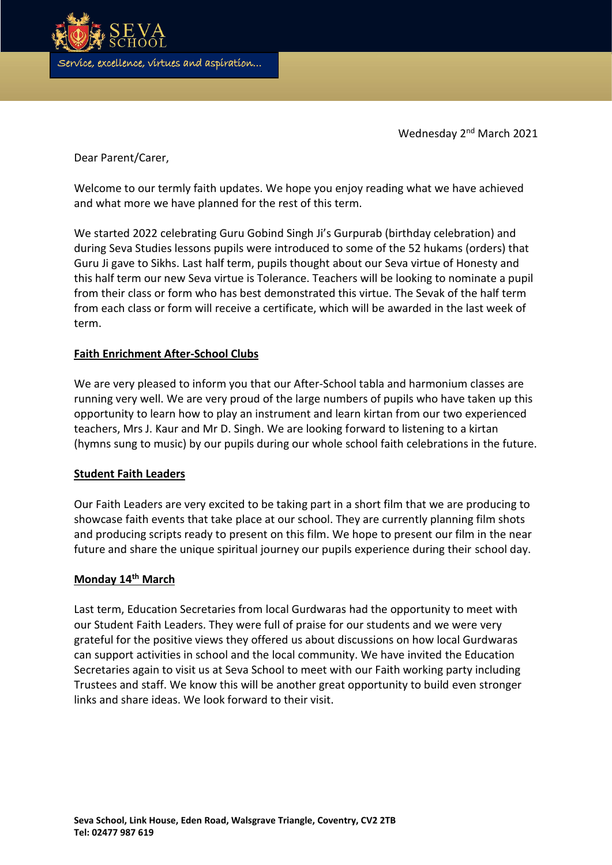

Wednesday 2<sup>nd</sup> March 2021

Dear Parent/Carer,

Welcome to our termly faith updates. We hope you enjoy reading what we have achieved and what more we have planned for the rest of this term.

We started 2022 celebrating Guru Gobind Singh Ji's Gurpurab (birthday celebration) and during Seva Studies lessons pupils were introduced to some of the 52 hukams (orders) that Guru Ji gave to Sikhs. Last half term, pupils thought about our Seva virtue of Honesty and this half term our new Seva virtue is Tolerance. Teachers will be looking to nominate a pupil from their class or form who has best demonstrated this virtue. The Sevak of the half term from each class or form will receive a certificate, which will be awarded in the last week of term.

## **Faith Enrichment After-School Clubs**

We are very pleased to inform you that our After-School tabla and harmonium classes are running very well. We are very proud of the large numbers of pupils who have taken up this opportunity to learn how to play an instrument and learn kirtan from our two experienced teachers, Mrs J. Kaur and Mr D. Singh. We are looking forward to listening to a kirtan (hymns sung to music) by our pupils during our whole school faith celebrations in the future.

### **Student Faith Leaders**

Our Faith Leaders are very excited to be taking part in a short film that we are producing to showcase faith events that take place at our school. They are currently planning film shots and producing scripts ready to present on this film. We hope to present our film in the near future and share the unique spiritual journey our pupils experience during their school day.

### **Monday 14th March**

Last term, Education Secretaries from local Gurdwaras had the opportunity to meet with our Student Faith Leaders. They were full of praise for our students and we were very grateful for the positive views they offered us about discussions on how local Gurdwaras can support activities in school and the local community. We have invited the Education Secretaries again to visit us at Seva School to meet with our Faith working party including Trustees and staff. We know this will be another great opportunity to build even stronger links and share ideas. We look forward to their visit.